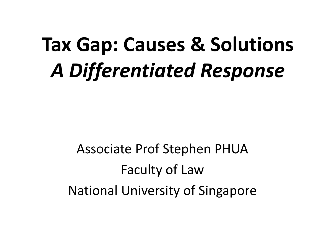# **Tax Gap: Causes & Solutions** *A Differentiated Response*

Associate Prof Stephen PHUA Faculty of Law National University of Singapore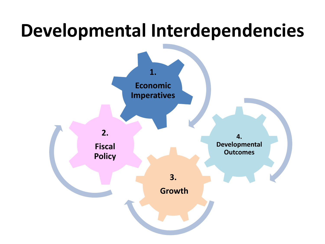#### **Developmental Interdependencies**

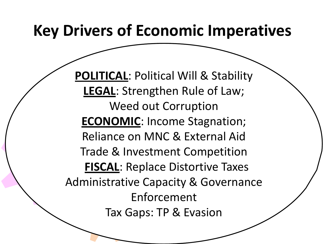#### **Key Drivers of Economic Imperatives**

**4.**  Trade & Investment Competition ace Disto **FISCAL**: Replace Distortive Taxes Tax Gaps: TP & Evasion **1. Economic ECONOMIC**: Income Stagnation; **POLITICAL**: Political Will & Stability **LEGAL**: Strengthen Rule of Law; Weed out Corruption Reliance on MNC & External Aid Administrative Capacity & Governance Enforcement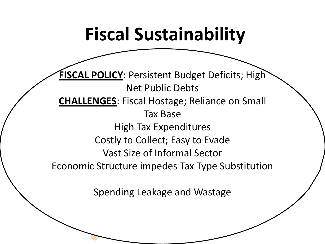#### **Fiscal Sustainability**

**4.**  Vast Size of Informal Sector medes Tax<sup>1</sup> **Outcomes Economic Structure impedes Tax Type Substitution 1. CHALLENGES:** Fiscal Hostage; Reliance on Small **FISCAL POLICY**: Persistent Budget Deficits; High Net Public Debts Tax Base High Tax Expenditures Costly to Collect; Easy to Evade

**3.**  Spending Leakage and Wastage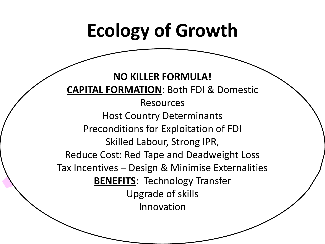### **Ecology of Growth**

**4.**  Reduce Cost: Red Tape and Deadweight Loss op R. Minim Tax Incentives – Design & Minimise Externalities **1. CAPITAL FORMATION**: Both FDI & Domestic **Imperatives NO KILLER FORMULA!** Resources Host Country Determinants Preconditions for Exploitation of FDI Skilled Labour, Strong IPR, **BENEFITS:** Technology Transfer Upgrade of skills Innovation

Stagnation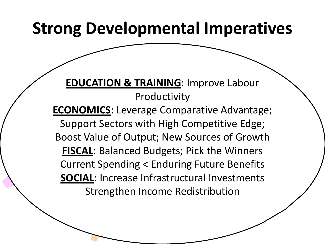#### **Strong Developmental Imperatives**

#### **EDUCATION & TRAINING: Improve Labour** Productivity

**4. Current Spending < Enduring Future Benefits** .<br>المصري المراجع **3. ECONOMICS:** Leverage Comparative Advantage; Strengthen Income Redistribution Support Sectors with High Competitive Edge; Boost Value of Output; New Sources of Growth **FISCAL**: Balanced Budgets; Pick the Winners **SOCIAL**: Increase Infrastructural Investments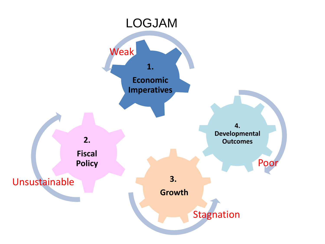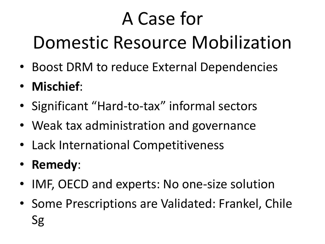# A Case for

## Domestic Resource Mobilization

- Boost DRM to reduce External Dependencies
- **Mischief**:
- Significant "Hard-to-tax" informal sectors
- Weak tax administration and governance
- Lack International Competitiveness
- **Remedy**:
- IMF, OECD and experts: No one-size solution
- Some Prescriptions are Validated: Frankel, Chile Sg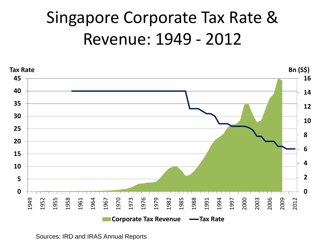#### Singapore Corporate Tax Rate & Revenue: 1949 - 2012



Sources: IRD and IRAS Annual Reports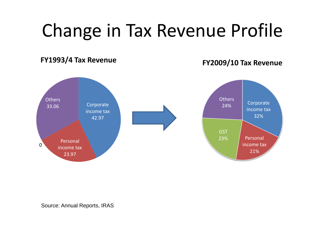#### Change in Tax Revenue Profile

#### **FY1993/4 Tax Revenue**

**FY2009/10 Tax Revenue**



Source: Annual Reports, IRAS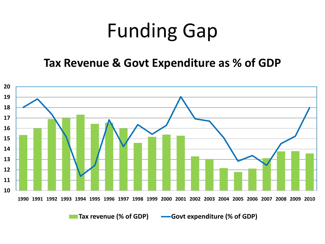# Funding Gap

#### **Tax Revenue & Govt Expenditure as % of GDP**

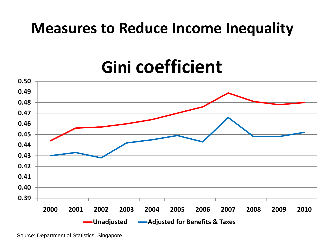#### **Measures to Reduce Income Inequality**

#### **Gini coefficient**



Source: Department of Statistics, Singapore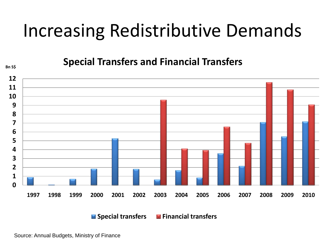#### Increasing Redistributive Demands

**Bnss Special Transfers and Financial Transfers** 



**Special transfers Financial transfers**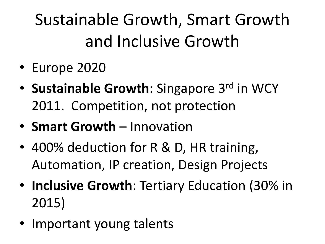Sustainable Growth, Smart Growth and Inclusive Growth

- Europe 2020
- **Sustainable Growth**: Singapore 3<sup>rd</sup> in WCY 2011. Competition, not protection
- **Smart Growth**  Innovation
- 400% deduction for R & D, HR training, Automation, IP creation, Design Projects
- **Inclusive Growth**: Tertiary Education (30% in 2015)
- Important young talents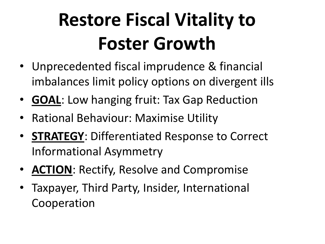# **Restore Fiscal Vitality to Foster Growth**

- Unprecedented fiscal imprudence & financial imbalances limit policy options on divergent ills
- **GOAL**: Low hanging fruit: Tax Gap Reduction
- Rational Behaviour: Maximise Utility
- **STRATEGY**: Differentiated Response to Correct Informational Asymmetry
- **ACTION**: Rectify, Resolve and Compromise
- Taxpayer, Third Party, Insider, International Cooperation